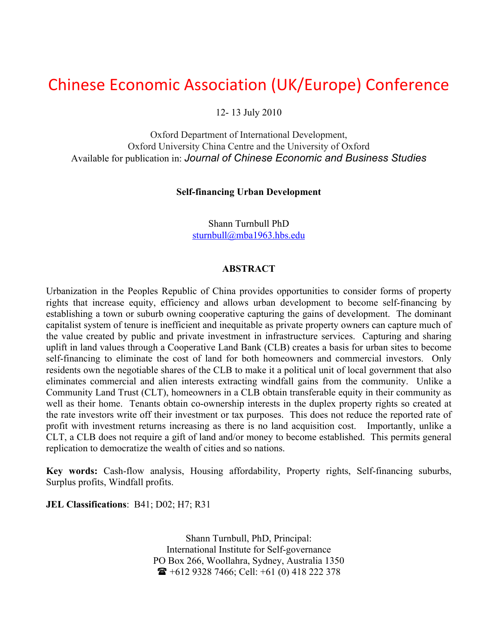# Chinese Economic Association (UK/Europe) Conference

12- 13 July 2010

Oxford Department of International Development, Oxford University China Centre and the University of Oxford Available for publication in: *Journal of Chinese Economic and Business Studies*

#### **Self-financing Urban Development**

Shann Turnbull PhD sturnbull@mba1963.hbs.edu

#### **ABSTRACT**

Urbanization in the Peoples Republic of China provides opportunities to consider forms of property rights that increase equity, efficiency and allows urban development to become self-financing by establishing a town or suburb owning cooperative capturing the gains of development. The dominant capitalist system of tenure is inefficient and inequitable as private property owners can capture much of the value created by public and private investment in infrastructure services. Capturing and sharing uplift in land values through a Cooperative Land Bank (CLB) creates a basis for urban sites to become self-financing to eliminate the cost of land for both homeowners and commercial investors. Only residents own the negotiable shares of the CLB to make it a political unit of local government that also eliminates commercial and alien interests extracting windfall gains from the community. Unlike a Community Land Trust (CLT), homeowners in a CLB obtain transferable equity in their community as well as their home. Tenants obtain co-ownership interests in the duplex property rights so created at the rate investors write off their investment or tax purposes. This does not reduce the reported rate of profit with investment returns increasing as there is no land acquisition cost. Importantly, unlike a CLT, a CLB does not require a gift of land and/or money to become established. This permits general replication to democratize the wealth of cities and so nations.

**Key words:** Cash-flow analysis, Housing affordability, Property rights, Self-financing suburbs, Surplus profits, Windfall profits.

**JEL Classifications**: B41; D02; H7; R31

Shann Turnbull, PhD, Principal: International Institute for Self-governance PO Box 266, Woollahra, Sydney, Australia 1350  $\bullet$  +612 9328 7466; Cell: +61 (0) 418 222 378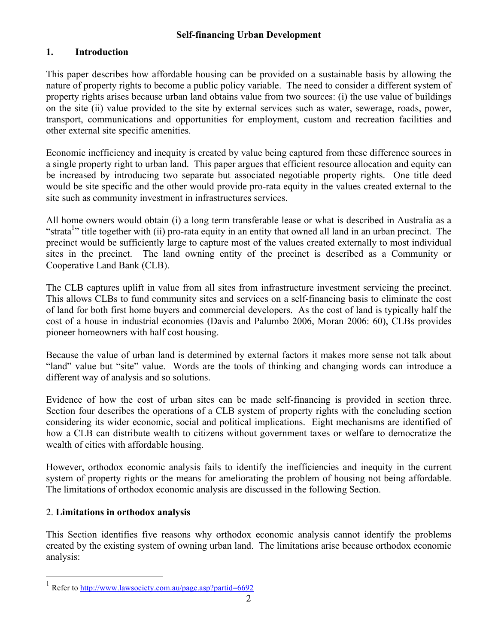# **1. Introduction**

This paper describes how affordable housing can be provided on a sustainable basis by allowing the nature of property rights to become a public policy variable. The need to consider a different system of property rights arises because urban land obtains value from two sources: (i) the use value of buildings on the site (ii) value provided to the site by external services such as water, sewerage, roads, power, transport, communications and opportunities for employment, custom and recreation facilities and other external site specific amenities.

Economic inefficiency and inequity is created by value being captured from these difference sources in a single property right to urban land. This paper argues that efficient resource allocation and equity can be increased by introducing two separate but associated negotiable property rights. One title deed would be site specific and the other would provide pro-rata equity in the values created external to the site such as community investment in infrastructures services.

All home owners would obtain (i) a long term transferable lease or what is described in Australia as a "strata<sup>1</sup>" title together with (ii) pro-rata equity in an entity that owned all land in an urban precinct. The precinct would be sufficiently large to capture most of the values created externally to most individual sites in the precinct. The land owning entity of the precinct is described as a Community or Cooperative Land Bank (CLB).

The CLB captures uplift in value from all sites from infrastructure investment servicing the precinct. This allows CLBs to fund community sites and services on a self-financing basis to eliminate the cost of land for both first home buyers and commercial developers. As the cost of land is typically half the cost of a house in industrial economies (Davis and Palumbo 2006, Moran 2006: 60), CLBs provides pioneer homeowners with half cost housing.

Because the value of urban land is determined by external factors it makes more sense not talk about "land" value but "site" value. Words are the tools of thinking and changing words can introduce a different way of analysis and so solutions.

Evidence of how the cost of urban sites can be made self-financing is provided in section three. Section four describes the operations of a CLB system of property rights with the concluding section considering its wider economic, social and political implications. Eight mechanisms are identified of how a CLB can distribute wealth to citizens without government taxes or welfare to democratize the wealth of cities with affordable housing.

However, orthodox economic analysis fails to identify the inefficiencies and inequity in the current system of property rights or the means for ameliorating the problem of housing not being affordable. The limitations of orthodox economic analysis are discussed in the following Section.

# 2. **Limitations in orthodox analysis**

This Section identifies five reasons why orthodox economic analysis cannot identify the problems created by the existing system of owning urban land. The limitations arise because orthodox economic analysis:

 $1$  Refer to http://www.lawsociety.com.au/page.asp?partid=6692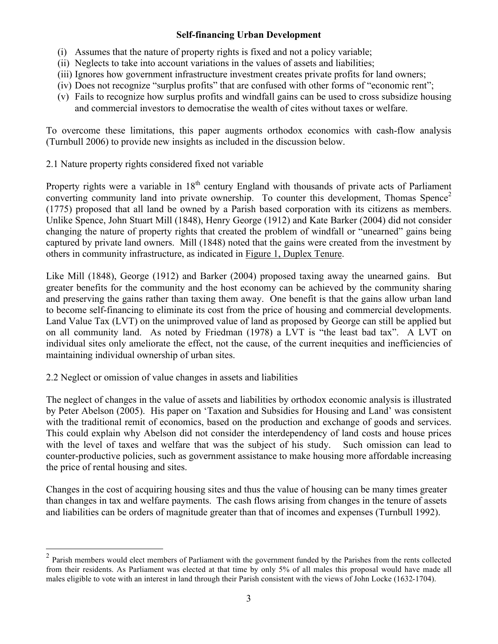- (i) Assumes that the nature of property rights is fixed and not a policy variable;
- (ii) Neglects to take into account variations in the values of assets and liabilities;
- (iii) Ignores how government infrastructure investment creates private profits for land owners;
- (iv) Does not recognize "surplus profits" that are confused with other forms of "economic rent";
- (v) Fails to recognize how surplus profits and windfall gains can be used to cross subsidize housing and commercial investors to democratise the wealth of cites without taxes or welfare.

To overcome these limitations, this paper augments orthodox economics with cash-flow analysis (Turnbull 2006) to provide new insights as included in the discussion below.

2.1 Nature property rights considered fixed not variable

Property rights were a variable in  $18<sup>th</sup>$  century England with thousands of private acts of Parliament converting community land into private ownership. To counter this development, Thomas Spence<sup>2</sup> (1775) proposed that all land be owned by a Parish based corporation with its citizens as members. Unlike Spence, John Stuart Mill (1848), Henry George (1912) and Kate Barker (2004) did not consider changing the nature of property rights that created the problem of windfall or "unearned" gains being captured by private land owners. Mill (1848) noted that the gains were created from the investment by others in community infrastructure, as indicated in Figure 1, Duplex Tenure.

Like Mill (1848), George (1912) and Barker (2004) proposed taxing away the unearned gains. But greater benefits for the community and the host economy can be achieved by the community sharing and preserving the gains rather than taxing them away. One benefit is that the gains allow urban land to become self-financing to eliminate its cost from the price of housing and commercial developments. Land Value Tax (LVT) on the unimproved value of land as proposed by George can still be applied but on all community land. As noted by Friedman (1978) a LVT is "the least bad tax". A LVT on individual sites only ameliorate the effect, not the cause, of the current inequities and inefficiencies of maintaining individual ownership of urban sites.

2.2 Neglect or omission of value changes in assets and liabilities

The neglect of changes in the value of assets and liabilities by orthodox economic analysis is illustrated by Peter Abelson (2005). His paper on 'Taxation and Subsidies for Housing and Land' was consistent with the traditional remit of economics, based on the production and exchange of goods and services. This could explain why Abelson did not consider the interdependency of land costs and house prices with the level of taxes and welfare that was the subject of his study. Such omission can lead to counter-productive policies, such as government assistance to make housing more affordable increasing the price of rental housing and sites.

Changes in the cost of acquiring housing sites and thus the value of housing can be many times greater than changes in tax and welfare payments. The cash flows arising from changes in the tenure of assets and liabilities can be orders of magnitude greater than that of incomes and expenses (Turnbull 1992).

<sup>&</sup>lt;sup>2</sup> Parish members would elect members of Parliament with the government funded by the Parishes from the rents collected from their residents. As Parliament was elected at that time by only 5% of all males this proposal would have made all males eligible to vote with an interest in land through their Parish consistent with the views of John Locke (1632-1704).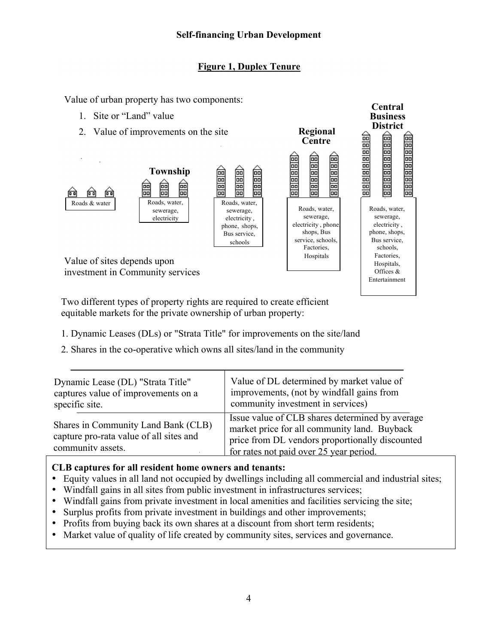# **Figure 1, Duplex Tenure**

**Central Business District**

**Regional** 

Value of urban property has two components:

- 1. Site or "Land" value
- 2. Value of improvements on the site



Two different types of property rights are required to create efficient equitable markets for the private ownership of urban property:

- 1. Dynamic Leases (DLs) or "Strata Title" for improvements on the site/land
- 2. Shares in the co-operative which owns all sites/land in the community

| Dynamic Lease (DL) "Strata Title"                                                                   | Value of DL determined by market value of                                                                                                                                                     |
|-----------------------------------------------------------------------------------------------------|-----------------------------------------------------------------------------------------------------------------------------------------------------------------------------------------------|
| captures value of improvements on a                                                                 | improvements, (not by windfall gains from                                                                                                                                                     |
| specific site.                                                                                      | community investment in services)                                                                                                                                                             |
| Shares in Community Land Bank (CLB)<br>capture pro-rata value of all sites and<br>community assets. | Issue value of CLB shares determined by average<br>market price for all community land. Buyback<br>price from DL vendors proportionally discounted<br>for rates not paid over 25 year period. |

# **CLB captures for all resident home owners and tenants:**

- Equity values in all land not occupied by dwellings including all commercial and industrial sites;
- Windfall gains in all sites from public investment in infrastructures services;
- Windfall gains from private investment in local amenities and facilities servicing the site;
- Surplus profits from private investment in buildings and other improvements;
- Profits from buying back its own shares at a discount from short term residents;
- Market value of quality of life created by community sites, services and governance.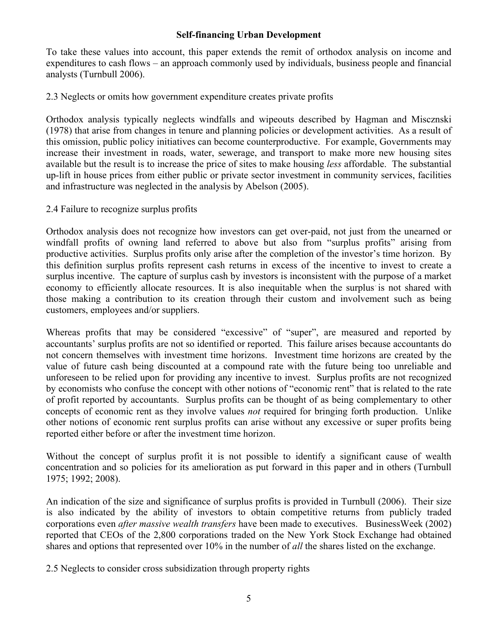To take these values into account, this paper extends the remit of orthodox analysis on income and expenditures to cash flows – an approach commonly used by individuals, business people and financial analysts (Turnbull 2006).

2.3 Neglects or omits how government expenditure creates private profits

Orthodox analysis typically neglects windfalls and wipeouts described by Hagman and Miscznski (1978) that arise from changes in tenure and planning policies or development activities. As a result of this omission, public policy initiatives can become counterproductive. For example, Governments may increase their investment in roads, water, sewerage, and transport to make more new housing sites available but the result is to increase the price of sites to make housing *less* affordable. The substantial up-lift in house prices from either public or private sector investment in community services, facilities and infrastructure was neglected in the analysis by Abelson (2005).

2.4 Failure to recognize surplus profits

Orthodox analysis does not recognize how investors can get over-paid, not just from the unearned or windfall profits of owning land referred to above but also from "surplus profits" arising from productive activities. Surplus profits only arise after the completion of the investor's time horizon. By this definition surplus profits represent cash returns in excess of the incentive to invest to create a surplus incentive. The capture of surplus cash by investors is inconsistent with the purpose of a market economy to efficiently allocate resources. It is also inequitable when the surplus is not shared with those making a contribution to its creation through their custom and involvement such as being customers, employees and/or suppliers.

Whereas profits that may be considered "excessive" of "super", are measured and reported by accountants' surplus profits are not so identified or reported. This failure arises because accountants do not concern themselves with investment time horizons. Investment time horizons are created by the value of future cash being discounted at a compound rate with the future being too unreliable and unforeseen to be relied upon for providing any incentive to invest. Surplus profits are not recognized by economists who confuse the concept with other notions of "economic rent" that is related to the rate of profit reported by accountants. Surplus profits can be thought of as being complementary to other concepts of economic rent as they involve values *not* required for bringing forth production. Unlike other notions of economic rent surplus profits can arise without any excessive or super profits being reported either before or after the investment time horizon.

Without the concept of surplus profit it is not possible to identify a significant cause of wealth concentration and so policies for its amelioration as put forward in this paper and in others (Turnbull 1975; 1992; 2008).

An indication of the size and significance of surplus profits is provided in Turnbull (2006). Their size is also indicated by the ability of investors to obtain competitive returns from publicly traded corporations even *after massive wealth transfers* have been made to executives. BusinessWeek (2002) reported that CEOs of the 2,800 corporations traded on the New York Stock Exchange had obtained shares and options that represented over 10% in the number of *all* the shares listed on the exchange.

2.5 Neglects to consider cross subsidization through property rights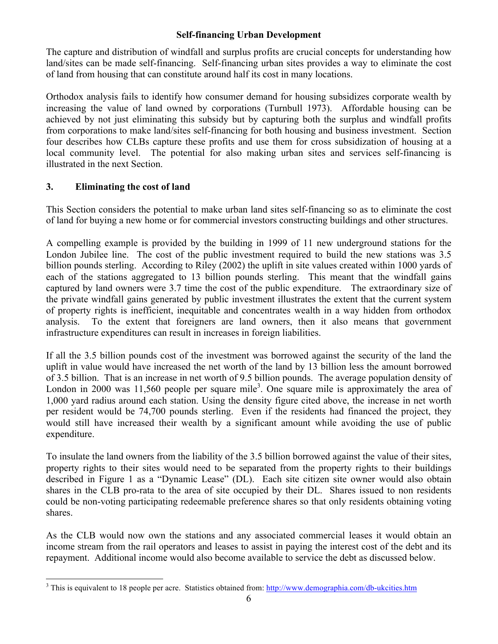The capture and distribution of windfall and surplus profits are crucial concepts for understanding how land/sites can be made self-financing. Self-financing urban sites provides a way to eliminate the cost of land from housing that can constitute around half its cost in many locations.

Orthodox analysis fails to identify how consumer demand for housing subsidizes corporate wealth by increasing the value of land owned by corporations (Turnbull 1973). Affordable housing can be achieved by not just eliminating this subsidy but by capturing both the surplus and windfall profits from corporations to make land/sites self-financing for both housing and business investment. Section four describes how CLBs capture these profits and use them for cross subsidization of housing at a local community level. The potential for also making urban sites and services self-financing is illustrated in the next Section.

# **3. Eliminating the cost of land**

This Section considers the potential to make urban land sites self-financing so as to eliminate the cost of land for buying a new home or for commercial investors constructing buildings and other structures.

A compelling example is provided by the building in 1999 of 11 new underground stations for the London Jubilee line. The cost of the public investment required to build the new stations was 3.5 billion pounds sterling. According to Riley (2002) the uplift in site values created within 1000 yards of each of the stations aggregated to 13 billion pounds sterling. This meant that the windfall gains captured by land owners were 3.7 time the cost of the public expenditure. The extraordinary size of the private windfall gains generated by public investment illustrates the extent that the current system of property rights is inefficient, inequitable and concentrates wealth in a way hidden from orthodox analysis. To the extent that foreigners are land owners, then it also means that government infrastructure expenditures can result in increases in foreign liabilities.

If all the 3.5 billion pounds cost of the investment was borrowed against the security of the land the uplift in value would have increased the net worth of the land by 13 billion less the amount borrowed of 3.5 billion. That is an increase in net worth of 9.5 billion pounds. The average population density of London in 2000 was 11,560 people per square mile<sup>3</sup>. One square mile is approximately the area of 1,000 yard radius around each station. Using the density figure cited above, the increase in net worth per resident would be 74,700 pounds sterling. Even if the residents had financed the project, they would still have increased their wealth by a significant amount while avoiding the use of public expenditure.

To insulate the land owners from the liability of the 3.5 billion borrowed against the value of their sites, property rights to their sites would need to be separated from the property rights to their buildings described in Figure 1 as a "Dynamic Lease" (DL). Each site citizen site owner would also obtain shares in the CLB pro-rata to the area of site occupied by their DL. Shares issued to non residents could be non-voting participating redeemable preference shares so that only residents obtaining voting shares.

As the CLB would now own the stations and any associated commercial leases it would obtain an income stream from the rail operators and leases to assist in paying the interest cost of the debt and its repayment. Additional income would also become available to service the debt as discussed below.

<sup>&</sup>lt;sup>3</sup> This is equivalent to 18 people per acre. Statistics obtained from: http://www.demographia.com/db-ukcities.htm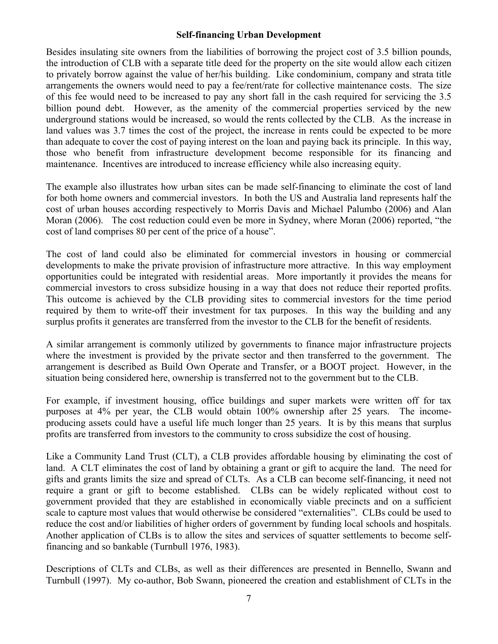Besides insulating site owners from the liabilities of borrowing the project cost of 3.5 billion pounds, the introduction of CLB with a separate title deed for the property on the site would allow each citizen to privately borrow against the value of her/his building. Like condominium, company and strata title arrangements the owners would need to pay a fee/rent/rate for collective maintenance costs. The size of this fee would need to be increased to pay any short fall in the cash required for servicing the 3.5 billion pound debt. However, as the amenity of the commercial properties serviced by the new underground stations would be increased, so would the rents collected by the CLB. As the increase in land values was 3.7 times the cost of the project, the increase in rents could be expected to be more than adequate to cover the cost of paying interest on the loan and paying back its principle. In this way, those who benefit from infrastructure development become responsible for its financing and maintenance. Incentives are introduced to increase efficiency while also increasing equity.

The example also illustrates how urban sites can be made self-financing to eliminate the cost of land for both home owners and commercial investors. In both the US and Australia land represents half the cost of urban houses according respectively to Morris Davis and Michael Palumbo (2006) and Alan Moran (2006). The cost reduction could even be more in Sydney, where Moran (2006) reported, "the cost of land comprises 80 per cent of the price of a house".

The cost of land could also be eliminated for commercial investors in housing or commercial developments to make the private provision of infrastructure more attractive. In this way employment opportunities could be integrated with residential areas. More importantly it provides the means for commercial investors to cross subsidize housing in a way that does not reduce their reported profits. This outcome is achieved by the CLB providing sites to commercial investors for the time period required by them to write-off their investment for tax purposes. In this way the building and any surplus profits it generates are transferred from the investor to the CLB for the benefit of residents.

A similar arrangement is commonly utilized by governments to finance major infrastructure projects where the investment is provided by the private sector and then transferred to the government. The arrangement is described as Build Own Operate and Transfer, or a BOOT project. However, in the situation being considered here, ownership is transferred not to the government but to the CLB.

For example, if investment housing, office buildings and super markets were written off for tax purposes at 4% per year, the CLB would obtain 100% ownership after 25 years. The incomeproducing assets could have a useful life much longer than 25 years. It is by this means that surplus profits are transferred from investors to the community to cross subsidize the cost of housing.

Like a Community Land Trust (CLT), a CLB provides affordable housing by eliminating the cost of land. A CLT eliminates the cost of land by obtaining a grant or gift to acquire the land. The need for gifts and grants limits the size and spread of CLTs. As a CLB can become self-financing, it need not require a grant or gift to become established. CLBs can be widely replicated without cost to government provided that they are established in economically viable precincts and on a sufficient scale to capture most values that would otherwise be considered "externalities". CLBs could be used to reduce the cost and/or liabilities of higher orders of government by funding local schools and hospitals. Another application of CLBs is to allow the sites and services of squatter settlements to become selffinancing and so bankable (Turnbull 1976, 1983).

Descriptions of CLTs and CLBs, as well as their differences are presented in Bennello, Swann and Turnbull (1997). My co-author, Bob Swann, pioneered the creation and establishment of CLTs in the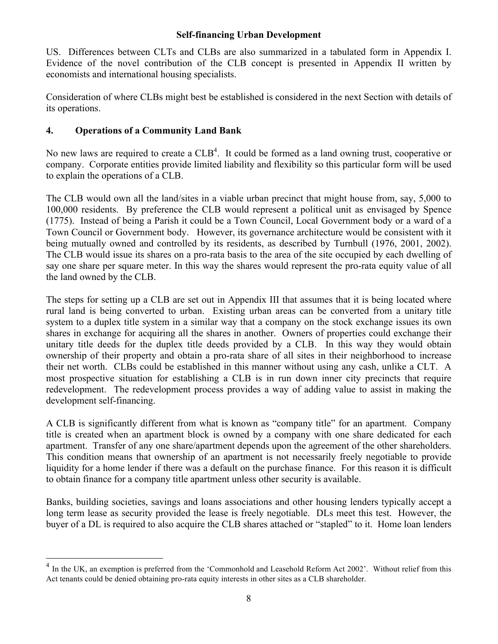US. Differences between CLTs and CLBs are also summarized in a tabulated form in Appendix I. Evidence of the novel contribution of the CLB concept is presented in Appendix II written by economists and international housing specialists.

Consideration of where CLBs might best be established is considered in the next Section with details of its operations.

# **4. Operations of a Community Land Bank**

No new laws are required to create a  $CLB<sup>4</sup>$ . It could be formed as a land owning trust, cooperative or company. Corporate entities provide limited liability and flexibility so this particular form will be used to explain the operations of a CLB.

The CLB would own all the land/sites in a viable urban precinct that might house from, say, 5,000 to 100,000 residents. By preference the CLB would represent a political unit as envisaged by Spence (1775). Instead of being a Parish it could be a Town Council, Local Government body or a ward of a Town Council or Government body. However, its governance architecture would be consistent with it being mutually owned and controlled by its residents, as described by Turnbull (1976, 2001, 2002). The CLB would issue its shares on a pro-rata basis to the area of the site occupied by each dwelling of say one share per square meter. In this way the shares would represent the pro-rata equity value of all the land owned by the CLB.

The steps for setting up a CLB are set out in Appendix III that assumes that it is being located where rural land is being converted to urban. Existing urban areas can be converted from a unitary title system to a duplex title system in a similar way that a company on the stock exchange issues its own shares in exchange for acquiring all the shares in another. Owners of properties could exchange their unitary title deeds for the duplex title deeds provided by a CLB. In this way they would obtain ownership of their property and obtain a pro-rata share of all sites in their neighborhood to increase their net worth. CLBs could be established in this manner without using any cash, unlike a CLT. A most prospective situation for establishing a CLB is in run down inner city precincts that require redevelopment. The redevelopment process provides a way of adding value to assist in making the development self-financing.

A CLB is significantly different from what is known as "company title" for an apartment. Company title is created when an apartment block is owned by a company with one share dedicated for each apartment. Transfer of any one share/apartment depends upon the agreement of the other shareholders. This condition means that ownership of an apartment is not necessarily freely negotiable to provide liquidity for a home lender if there was a default on the purchase finance. For this reason it is difficult to obtain finance for a company title apartment unless other security is available.

Banks, building societies, savings and loans associations and other housing lenders typically accept a long term lease as security provided the lease is freely negotiable. DLs meet this test. However, the buyer of a DL is required to also acquire the CLB shares attached or "stapled" to it. Home loan lenders

In the UK, an exemption is preferred from the 'Commonhold and Leasehold Reform Act 2002'. Without relief from this Act tenants could be denied obtaining pro-rata equity interests in other sites as a CLB shareholder.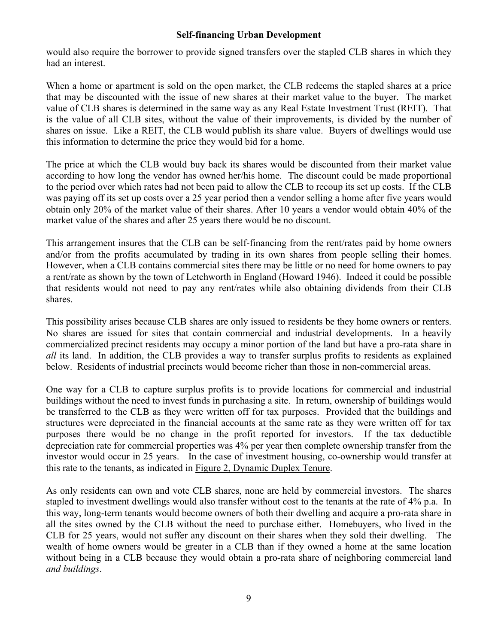would also require the borrower to provide signed transfers over the stapled CLB shares in which they had an interest.

When a home or apartment is sold on the open market, the CLB redeems the stapled shares at a price that may be discounted with the issue of new shares at their market value to the buyer. The market value of CLB shares is determined in the same way as any Real Estate Investment Trust (REIT). That is the value of all CLB sites, without the value of their improvements, is divided by the number of shares on issue. Like a REIT, the CLB would publish its share value. Buyers of dwellings would use this information to determine the price they would bid for a home.

The price at which the CLB would buy back its shares would be discounted from their market value according to how long the vendor has owned her/his home. The discount could be made proportional to the period over which rates had not been paid to allow the CLB to recoup its set up costs. If the CLB was paying off its set up costs over a 25 year period then a vendor selling a home after five years would obtain only 20% of the market value of their shares. After 10 years a vendor would obtain 40% of the market value of the shares and after 25 years there would be no discount.

This arrangement insures that the CLB can be self-financing from the rent/rates paid by home owners and/or from the profits accumulated by trading in its own shares from people selling their homes. However, when a CLB contains commercial sites there may be little or no need for home owners to pay a rent/rate as shown by the town of Letchworth in England (Howard 1946). Indeed it could be possible that residents would not need to pay any rent/rates while also obtaining dividends from their CLB shares.

This possibility arises because CLB shares are only issued to residents be they home owners or renters. No shares are issued for sites that contain commercial and industrial developments. In a heavily commercialized precinct residents may occupy a minor portion of the land but have a pro-rata share in *all* its land. In addition, the CLB provides a way to transfer surplus profits to residents as explained below. Residents of industrial precincts would become richer than those in non-commercial areas.

One way for a CLB to capture surplus profits is to provide locations for commercial and industrial buildings without the need to invest funds in purchasing a site. In return, ownership of buildings would be transferred to the CLB as they were written off for tax purposes. Provided that the buildings and structures were depreciated in the financial accounts at the same rate as they were written off for tax purposes there would be no change in the profit reported for investors. If the tax deductible depreciation rate for commercial properties was 4% per year then complete ownership transfer from the investor would occur in 25 years. In the case of investment housing, co-ownership would transfer at this rate to the tenants, as indicated in Figure 2, Dynamic Duplex Tenure.

As only residents can own and vote CLB shares, none are held by commercial investors. The shares stapled to investment dwellings would also transfer without cost to the tenants at the rate of 4% p.a. In this way, long-term tenants would become owners of both their dwelling and acquire a pro-rata share in all the sites owned by the CLB without the need to purchase either. Homebuyers, who lived in the CLB for 25 years, would not suffer any discount on their shares when they sold their dwelling. The wealth of home owners would be greater in a CLB than if they owned a home at the same location without being in a CLB because they would obtain a pro-rata share of neighboring commercial land *and buildings*.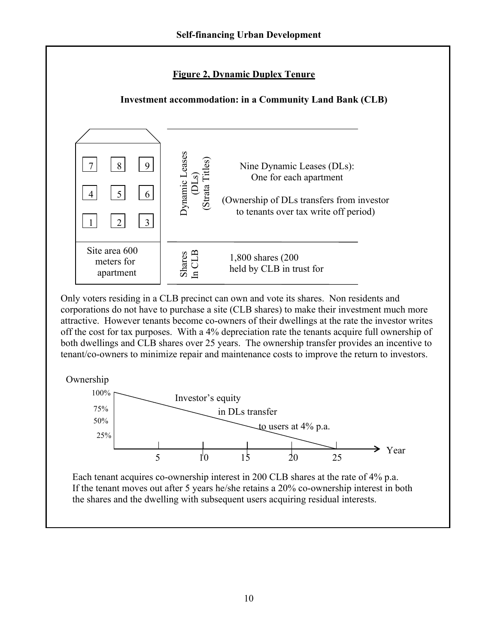# **Figure 2, Dynamic Duplex Tenure**

# **Investment accommodation: in a Community Land Bank (CLB)**



Only voters residing in a CLB precinct can own and vote its shares. Non residents and corporations do not have to purchase a site (CLB shares) to make their investment much more attractive. However tenants become co-owners of their dwellings at the rate the investor writes off the cost for tax purposes. With a 4% depreciation rate the tenants acquire full ownership of both dwellings and CLB shares over 25 years. The ownership transfer provides an incentive to tenant/co-owners to minimize repair and maintenance costs to improve the return to investors.





Each tenant acquires co-ownership interest in 200 CLB shares at the rate of 4% p.a. If the tenant moves out after 5 years he/she retains a 20% co-ownership interest in both the shares and the dwelling with subsequent users acquiring residual interests.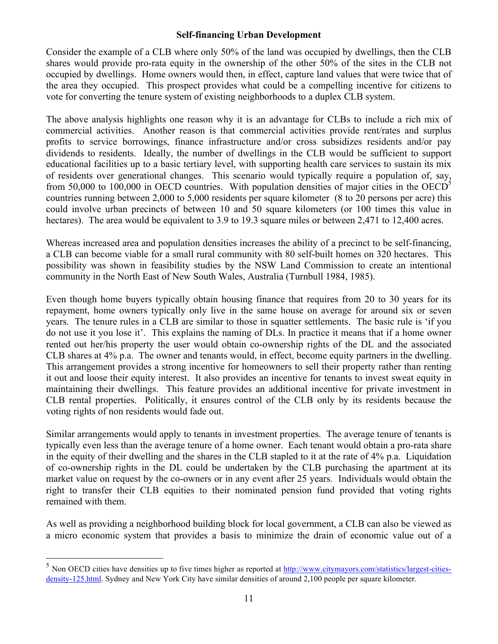Consider the example of a CLB where only 50% of the land was occupied by dwellings, then the CLB shares would provide pro-rata equity in the ownership of the other 50% of the sites in the CLB not occupied by dwellings. Home owners would then, in effect, capture land values that were twice that of the area they occupied. This prospect provides what could be a compelling incentive for citizens to vote for converting the tenure system of existing neighborhoods to a duplex CLB system.

The above analysis highlights one reason why it is an advantage for CLBs to include a rich mix of commercial activities. Another reason is that commercial activities provide rent/rates and surplus profits to service borrowings, finance infrastructure and/or cross subsidizes residents and/or pay dividends to residents. Ideally, the number of dwellings in the CLB would be sufficient to support educational facilities up to a basic tertiary level, with supporting health care services to sustain its mix of residents over generational changes. This scenario would typically require a population of, say, from 50,000 to 100,000 in OECD countries. With population densities of major cities in the OECD<sup>5</sup> countries running between 2,000 to 5,000 residents per square kilometer (8 to 20 persons per acre) this could involve urban precincts of between 10 and 50 square kilometers (or 100 times this value in hectares). The area would be equivalent to 3.9 to 19.3 square miles or between 2,471 to 12,400 acres.

Whereas increased area and population densities increases the ability of a precinct to be self-financing, a CLB can become viable for a small rural community with 80 self-built homes on 320 hectares. This possibility was shown in feasibility studies by the NSW Land Commission to create an intentional community in the North East of New South Wales, Australia (Turnbull 1984, 1985).

Even though home buyers typically obtain housing finance that requires from 20 to 30 years for its repayment, home owners typically only live in the same house on average for around six or seven years. The tenure rules in a CLB are similar to those in squatter settlements. The basic rule is 'if you do not use it you lose it'. This explains the naming of DLs. In practice it means that if a home owner rented out her/his property the user would obtain co-ownership rights of the DL and the associated CLB shares at 4% p.a. The owner and tenants would, in effect, become equity partners in the dwelling. This arrangement provides a strong incentive for homeowners to sell their property rather than renting it out and loose their equity interest. It also provides an incentive for tenants to invest sweat equity in maintaining their dwellings. This feature provides an additional incentive for private investment in CLB rental properties. Politically, it ensures control of the CLB only by its residents because the voting rights of non residents would fade out.

Similar arrangements would apply to tenants in investment properties. The average tenure of tenants is typically even less than the average tenure of a home owner. Each tenant would obtain a pro-rata share in the equity of their dwelling and the shares in the CLB stapled to it at the rate of 4% p.a. Liquidation of co-ownership rights in the DL could be undertaken by the CLB purchasing the apartment at its market value on request by the co-owners or in any event after 25 years. Individuals would obtain the right to transfer their CLB equities to their nominated pension fund provided that voting rights remained with them.

As well as providing a neighborhood building block for local government, a CLB can also be viewed as a micro economic system that provides a basis to minimize the drain of economic value out of a

<sup>&</sup>lt;sup>5</sup> Non OECD cities have densities up to five times higher as reported at http://www.citymayors.com/statistics/largest-citiesdensity-125.html. Sydney and New York City have similar densities of around 2,100 people per square kilometer.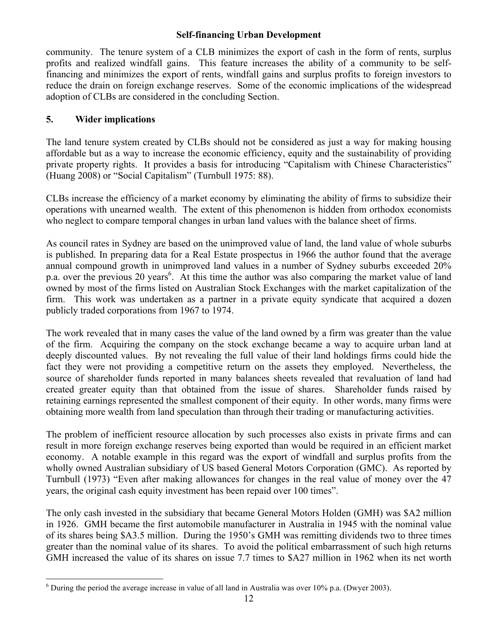community. The tenure system of a CLB minimizes the export of cash in the form of rents, surplus profits and realized windfall gains. This feature increases the ability of a community to be selffinancing and minimizes the export of rents, windfall gains and surplus profits to foreign investors to reduce the drain on foreign exchange reserves. Some of the economic implications of the widespread adoption of CLBs are considered in the concluding Section.

# **5. Wider implications**

The land tenure system created by CLBs should not be considered as just a way for making housing affordable but as a way to increase the economic efficiency, equity and the sustainability of providing private property rights. It provides a basis for introducing "Capitalism with Chinese Characteristics" (Huang 2008) or "Social Capitalism" (Turnbull 1975: 88).

CLBs increase the efficiency of a market economy by eliminating the ability of firms to subsidize their operations with unearned wealth. The extent of this phenomenon is hidden from orthodox economists who neglect to compare temporal changes in urban land values with the balance sheet of firms.

As council rates in Sydney are based on the unimproved value of land, the land value of whole suburbs is published. In preparing data for a Real Estate prospectus in 1966 the author found that the average annual compound growth in unimproved land values in a number of Sydney suburbs exceeded 20% p.a. over the previous 20 years<sup>6</sup>. At this time the author was also comparing the market value of land owned by most of the firms listed on Australian Stock Exchanges with the market capitalization of the firm. This work was undertaken as a partner in a private equity syndicate that acquired a dozen publicly traded corporations from 1967 to 1974.

The work revealed that in many cases the value of the land owned by a firm was greater than the value of the firm. Acquiring the company on the stock exchange became a way to acquire urban land at deeply discounted values. By not revealing the full value of their land holdings firms could hide the fact they were not providing a competitive return on the assets they employed. Nevertheless, the source of shareholder funds reported in many balances sheets revealed that revaluation of land had created greater equity than that obtained from the issue of shares. Shareholder funds raised by retaining earnings represented the smallest component of their equity. In other words, many firms were obtaining more wealth from land speculation than through their trading or manufacturing activities.

The problem of inefficient resource allocation by such processes also exists in private firms and can result in more foreign exchange reserves being exported than would be required in an efficient market economy. A notable example in this regard was the export of windfall and surplus profits from the wholly owned Australian subsidiary of US based General Motors Corporation (GMC). As reported by Turnbull (1973) "Even after making allowances for changes in the real value of money over the 47 years, the original cash equity investment has been repaid over 100 times".

The only cash invested in the subsidiary that became General Motors Holden (GMH) was \$A2 million in 1926. GMH became the first automobile manufacturer in Australia in 1945 with the nominal value of its shares being \$A3.5 million. During the 1950's GMH was remitting dividends two to three times greater than the nominal value of its shares. To avoid the political embarrassment of such high returns GMH increased the value of its shares on issue 7.7 times to \$A27 million in 1962 when its net worth

 <sup>6</sup>  $6$  During the period the average increase in value of all land in Australia was over 10% p.a. (Dwyer 2003).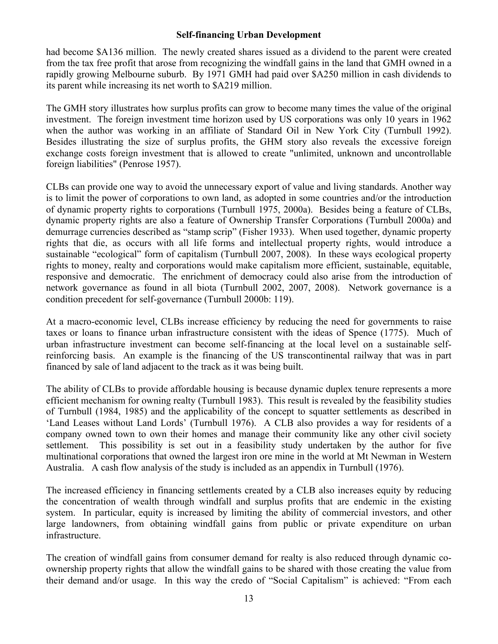had become \$A136 million. The newly created shares issued as a dividend to the parent were created from the tax free profit that arose from recognizing the windfall gains in the land that GMH owned in a rapidly growing Melbourne suburb. By 1971 GMH had paid over \$A250 million in cash dividends to its parent while increasing its net worth to \$A219 million.

The GMH story illustrates how surplus profits can grow to become many times the value of the original investment. The foreign investment time horizon used by US corporations was only 10 years in 1962 when the author was working in an affiliate of Standard Oil in New York City (Turnbull 1992). Besides illustrating the size of surplus profits, the GHM story also reveals the excessive foreign exchange costs foreign investment that is allowed to create "unlimited, unknown and uncontrollable foreign liabilities" (Penrose 1957).

CLBs can provide one way to avoid the unnecessary export of value and living standards. Another way is to limit the power of corporations to own land, as adopted in some countries and/or the introduction of dynamic property rights to corporations (Turnbull 1975, 2000a). Besides being a feature of CLBs, dynamic property rights are also a feature of Ownership Transfer Corporations (Turnbull 2000a) and demurrage currencies described as "stamp scrip" (Fisher 1933). When used together, dynamic property rights that die, as occurs with all life forms and intellectual property rights, would introduce a sustainable "ecological" form of capitalism (Turnbull 2007, 2008). In these ways ecological property rights to money, realty and corporations would make capitalism more efficient, sustainable, equitable, responsive and democratic. The enrichment of democracy could also arise from the introduction of network governance as found in all biota (Turnbull 2002, 2007, 2008). Network governance is a condition precedent for self-governance (Turnbull 2000b: 119).

At a macro-economic level, CLBs increase efficiency by reducing the need for governments to raise taxes or loans to finance urban infrastructure consistent with the ideas of Spence (1775). Much of urban infrastructure investment can become self-financing at the local level on a sustainable selfreinforcing basis. An example is the financing of the US transcontinental railway that was in part financed by sale of land adjacent to the track as it was being built.

The ability of CLBs to provide affordable housing is because dynamic duplex tenure represents a more efficient mechanism for owning realty (Turnbull 1983). This result is revealed by the feasibility studies of Turnbull (1984, 1985) and the applicability of the concept to squatter settlements as described in 'Land Leases without Land Lords' (Turnbull 1976). A CLB also provides a way for residents of a company owned town to own their homes and manage their community like any other civil society settlement. This possibility is set out in a feasibility study undertaken by the author for five multinational corporations that owned the largest iron ore mine in the world at Mt Newman in Western Australia. A cash flow analysis of the study is included as an appendix in Turnbull (1976).

The increased efficiency in financing settlements created by a CLB also increases equity by reducing the concentration of wealth through windfall and surplus profits that are endemic in the existing system. In particular, equity is increased by limiting the ability of commercial investors, and other large landowners, from obtaining windfall gains from public or private expenditure on urban infrastructure.

The creation of windfall gains from consumer demand for realty is also reduced through dynamic coownership property rights that allow the windfall gains to be shared with those creating the value from their demand and/or usage. In this way the credo of "Social Capitalism" is achieved: "From each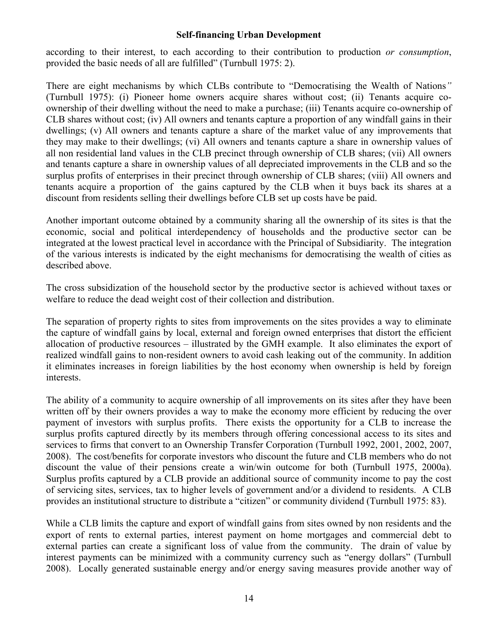according to their interest, to each according to their contribution to production *or consumption*, provided the basic needs of all are fulfilled" (Turnbull 1975: 2).

There are eight mechanisms by which CLBs contribute to "Democratising the Wealth of Nations*"* (Turnbull 1975): (i) Pioneer home owners acquire shares without cost; (ii) Tenants acquire coownership of their dwelling without the need to make a purchase; (iii) Tenants acquire co-ownership of CLB shares without cost; (iv) All owners and tenants capture a proportion of any windfall gains in their dwellings; (v) All owners and tenants capture a share of the market value of any improvements that they may make to their dwellings; (vi) All owners and tenants capture a share in ownership values of all non residential land values in the CLB precinct through ownership of CLB shares; (vii) All owners and tenants capture a share in ownership values of all depreciated improvements in the CLB and so the surplus profits of enterprises in their precinct through ownership of CLB shares; (viii) All owners and tenants acquire a proportion of the gains captured by the CLB when it buys back its shares at a discount from residents selling their dwellings before CLB set up costs have be paid.

Another important outcome obtained by a community sharing all the ownership of its sites is that the economic, social and political interdependency of households and the productive sector can be integrated at the lowest practical level in accordance with the Principal of Subsidiarity. The integration of the various interests is indicated by the eight mechanisms for democratising the wealth of cities as described above.

The cross subsidization of the household sector by the productive sector is achieved without taxes or welfare to reduce the dead weight cost of their collection and distribution.

The separation of property rights to sites from improvements on the sites provides a way to eliminate the capture of windfall gains by local, external and foreign owned enterprises that distort the efficient allocation of productive resources – illustrated by the GMH example. It also eliminates the export of realized windfall gains to non-resident owners to avoid cash leaking out of the community. In addition it eliminates increases in foreign liabilities by the host economy when ownership is held by foreign interests.

The ability of a community to acquire ownership of all improvements on its sites after they have been written off by their owners provides a way to make the economy more efficient by reducing the over payment of investors with surplus profits. There exists the opportunity for a CLB to increase the surplus profits captured directly by its members through offering concessional access to its sites and services to firms that convert to an Ownership Transfer Corporation (Turnbull 1992, 2001, 2002, 2007, 2008). The cost/benefits for corporate investors who discount the future and CLB members who do not discount the value of their pensions create a win/win outcome for both (Turnbull 1975, 2000a). Surplus profits captured by a CLB provide an additional source of community income to pay the cost of servicing sites, services, tax to higher levels of government and/or a dividend to residents. A CLB provides an institutional structure to distribute a "citizen" or community dividend (Turnbull 1975: 83).

While a CLB limits the capture and export of windfall gains from sites owned by non residents and the export of rents to external parties, interest payment on home mortgages and commercial debt to external parties can create a significant loss of value from the community. The drain of value by interest payments can be minimized with a community currency such as "energy dollars" (Turnbull 2008). Locally generated sustainable energy and/or energy saving measures provide another way of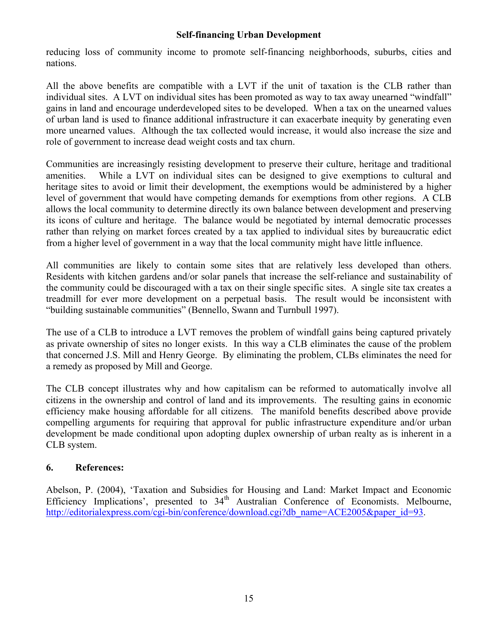reducing loss of community income to promote self-financing neighborhoods, suburbs, cities and nations.

All the above benefits are compatible with a LVT if the unit of taxation is the CLB rather than individual sites. A LVT on individual sites has been promoted as way to tax away unearned "windfall" gains in land and encourage underdeveloped sites to be developed. When a tax on the unearned values of urban land is used to finance additional infrastructure it can exacerbate inequity by generating even more unearned values. Although the tax collected would increase, it would also increase the size and role of government to increase dead weight costs and tax churn.

Communities are increasingly resisting development to preserve their culture, heritage and traditional amenities. While a LVT on individual sites can be designed to give exemptions to cultural and heritage sites to avoid or limit their development, the exemptions would be administered by a higher level of government that would have competing demands for exemptions from other regions. A CLB allows the local community to determine directly its own balance between development and preserving its icons of culture and heritage. The balance would be negotiated by internal democratic processes rather than relying on market forces created by a tax applied to individual sites by bureaucratic edict from a higher level of government in a way that the local community might have little influence.

All communities are likely to contain some sites that are relatively less developed than others. Residents with kitchen gardens and/or solar panels that increase the self-reliance and sustainability of the community could be discouraged with a tax on their single specific sites. A single site tax creates a treadmill for ever more development on a perpetual basis. The result would be inconsistent with "building sustainable communities" (Bennello, Swann and Turnbull 1997).

The use of a CLB to introduce a LVT removes the problem of windfall gains being captured privately as private ownership of sites no longer exists. In this way a CLB eliminates the cause of the problem that concerned J.S. Mill and Henry George. By eliminating the problem, CLBs eliminates the need for a remedy as proposed by Mill and George.

The CLB concept illustrates why and how capitalism can be reformed to automatically involve all citizens in the ownership and control of land and its improvements. The resulting gains in economic efficiency make housing affordable for all citizens. The manifold benefits described above provide compelling arguments for requiring that approval for public infrastructure expenditure and/or urban development be made conditional upon adopting duplex ownership of urban realty as is inherent in a CLB system.

# **6. References:**

Abelson, P. (2004), 'Taxation and Subsidies for Housing and Land: Market Impact and Economic Efficiency Implications', presented to  $34<sup>th</sup>$  Australian Conference of Economists. Melbourne, http://editorialexpress.com/cgi-bin/conference/download.cgi?db\_name=ACE2005&paper\_id=93.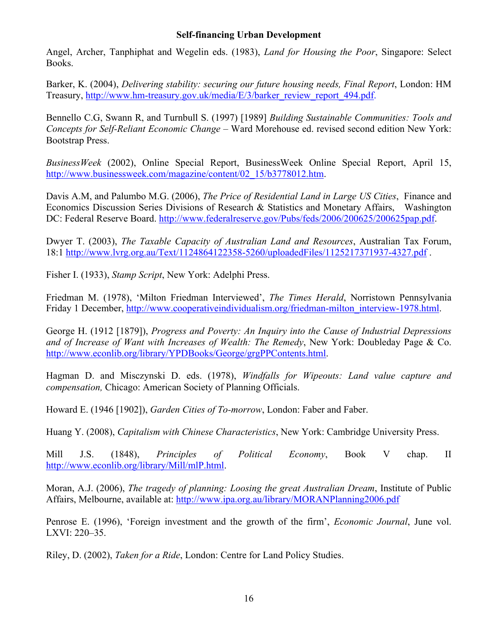Angel, Archer, Tanphiphat and Wegelin eds. (1983), *Land for Housing the Poor*, Singapore: Select Books.

Barker, K. (2004), *Delivering stability: securing our future housing needs, Final Report*, London: HM Treasury, http://www.hm-treasury.gov.uk/media/E/3/barker\_review\_report\_494.pdf.

Bennello C.G, Swann R, and Turnbull S. (1997) [1989] *Building Sustainable Communities: Tools and Concepts for Self-Reliant Economic Change* – Ward Morehouse ed. revised second edition New York: Bootstrap Press.

*BusinessWeek* (2002), Online Special Report, BusinessWeek Online Special Report, April 15, http://www.businessweek.com/magazine/content/02\_15/b3778012.htm.

Davis A.M, and Palumbo M.G. (2006), *The Price of Residential Land in Large US Cities*, Finance and Economics Discussion Series Divisions of Research & Statistics and Monetary Affairs, Washington DC: Federal Reserve Board. http://www.federalreserve.gov/Pubs/feds/2006/200625/200625pap.pdf.

Dwyer T. (2003), *The Taxable Capacity of Australian Land and Resources*, Australian Tax Forum, 18:1 http://www.lvrg.org.au/Text/1124864122358-5260/uploadedFiles/1125217371937-4327.pdf .

Fisher I. (1933), *Stamp Script*, New York: Adelphi Press.

Friedman M. (1978), 'Milton Friedman Interviewed', *The Times Herald*, Norristown Pennsylvania Friday 1 December, http://www.cooperativeindividualism.org/friedman-milton\_interview-1978.html.

George H. (1912 [1879]), *Progress and Poverty: An Inquiry into the Cause of Industrial Depressions and of Increase of Want with Increases of Wealth: The Remedy*, New York: Doubleday Page & Co. http://www.econlib.org/library/YPDBooks/George/grgPPContents.html.

Hagman D. and Misczynski D. eds. (1978), *Windfalls for Wipeouts: Land value capture and compensation,* Chicago: American Society of Planning Officials.

Howard E. (1946 [1902]), *Garden Cities of To-morrow*, London: Faber and Faber.

Huang Y. (2008), *Capitalism with Chinese Characteristics*, New York: Cambridge University Press.

Mill J.S. (1848), *Principles of Political Economy*, Book V chap. II http://www.econlib.org/library/Mill/mlP.html.

Moran, A.J. (2006), *The tragedy of planning: Loosing the great Australian Dream*, Institute of Public Affairs, Melbourne, available at: http://www.ipa.org.au/library/MORANPlanning2006.pdf

Penrose E. (1996), 'Foreign investment and the growth of the firm', *Economic Journal*, June vol. LXVI: 220–35.

Riley, D. (2002), *Taken for a Ride*, London: Centre for Land Policy Studies.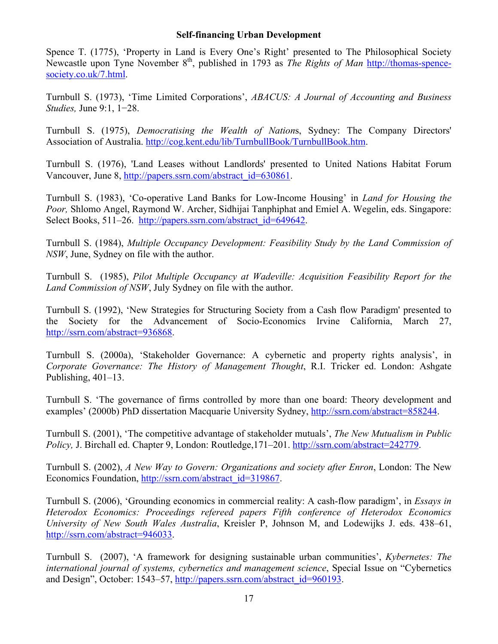Spence T. (1775), 'Property in Land is Every One's Right' presented to The Philosophical Society Newcastle upon Tyne November 8th, published in 1793 as *The Rights of Man* http://thomas-spencesociety.co.uk/7.html.

Turnbull S. (1973), 'Time Limited Corporations', *ABACUS: A Journal of Accounting and Business Studies,* June 9:1, 1−28.

Turnbull S. (1975), *Democratising the Wealth of Nation*s, Sydney: The Company Directors' Association of Australia. http://cog.kent.edu/lib/TurnbullBook/TurnbullBook.htm.

Turnbull S. (1976), 'Land Leases without Landlords' presented to United Nations Habitat Forum Vancouver, June 8, http://papers.ssrn.com/abstract\_id=630861.

Turnbull S. (1983), 'Co-operative Land Banks for Low-Income Housing' in *Land for Housing the Poor,* Shlomo Angel, Raymond W. Archer, Sidhijai Tanphiphat and Emiel A. Wegelin, eds. Singapore: Select Books, 511–26. http://papers.ssrn.com/abstract\_id=649642.

Turnbull S. (1984), *Multiple Occupancy Development: Feasibility Study by the Land Commission of NSW*, June, Sydney on file with the author.

Turnbull S. (1985), *Pilot Multiple Occupancy at Wadeville: Acquisition Feasibility Report for the Land Commission of NSW*, July Sydney on file with the author.

Turnbull S. (1992), 'New Strategies for Structuring Society from a Cash flow Paradigm' presented to the Society for the Advancement of Socio-Economics Irvine California, March 27, http://ssrn.com/abstract=936868.

Turnbull S. (2000a), 'Stakeholder Governance: A cybernetic and property rights analysis', in *Corporate Governance: The History of Management Thought*, R.I. Tricker ed. London: Ashgate Publishing, 401–13.

Turnbull S. 'The governance of firms controlled by more than one board: Theory development and examples' (2000b) PhD dissertation Macquarie University Sydney, http://ssrn.com/abstract=858244.

Turnbull S. (2001), 'The competitive advantage of stakeholder mutuals', *The New Mutualism in Public Policy,* J. Birchall ed. Chapter 9, London: Routledge,171–201. http://ssrn.com/abstract=242779.

Turnbull S. (2002), *A New Way to Govern: Organizations and society after Enron*, London: The New Economics Foundation, http://ssrn.com/abstract\_id=319867.

Turnbull S. (2006), 'Grounding economics in commercial reality: A cash-flow paradigm', in *Essays in Heterodox Economics: Proceedings refereed papers Fifth conference of Heterodox Economics University of New South Wales Australia*, Kreisler P, Johnson M, and Lodewijks J. eds. 438–61, http://ssrn.com/abstract=946033.

Turnbull S. (2007), 'A framework for designing sustainable urban communities', *Kybernetes: The international journal of systems, cybernetics and management science*, Special Issue on "Cybernetics and Design", October: 1543–57, http://papers.ssrn.com/abstract\_id=960193.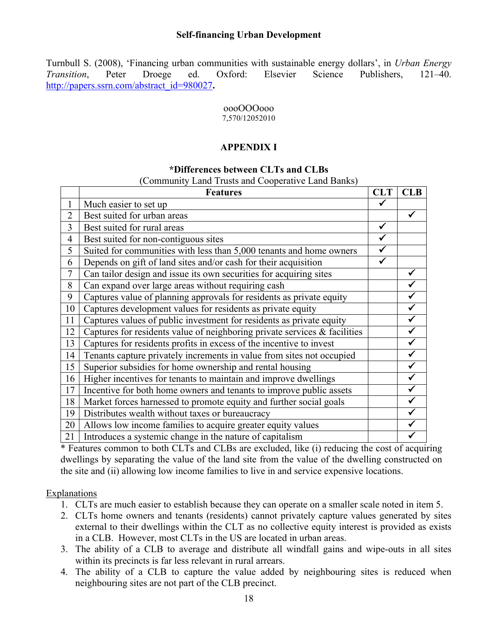Turnbull S. (2008), 'Financing urban communities with sustainable energy dollars', in *Urban Energy Transition*, Peter Droege ed. Oxford: Elsevier Science Publishers, 121–40. http://papers.ssrn.com/abstract\_id=980027**.**

# oooOOOooo

#### 7,570/12052010

# **APPENDIX I**

#### **\*Differences between CLTs and CLBs**

| (Community Land Trusts and Cooperative Land Banks) |  |  |  |  |
|----------------------------------------------------|--|--|--|--|
|----------------------------------------------------|--|--|--|--|

|                | <b>Features</b>                                                              | <b>CLT</b> | <b>CLB</b> |
|----------------|------------------------------------------------------------------------------|------------|------------|
|                | Much easier to set up                                                        |            |            |
| $\overline{2}$ | Best suited for urban areas                                                  |            |            |
| 3              | Best suited for rural areas                                                  |            |            |
| $\overline{4}$ | Best suited for non-contiguous sites                                         |            |            |
| 5              | Suited for communities with less than 5,000 tenants and home owners          |            |            |
| 6              | Depends on gift of land sites and/or cash for their acquisition              |            |            |
| $\overline{7}$ | Can tailor design and issue its own securities for acquiring sites           |            |            |
| 8              | Can expand over large areas without requiring cash                           |            |            |
| 9              | Captures value of planning approvals for residents as private equity         |            |            |
| 10             | Captures development values for residents as private equity                  |            |            |
| 11             | Captures values of public investment for residents as private equity         |            |            |
| 12             | Captures for residents value of neighboring private services $\&$ facilities |            |            |
| 13             | Captures for residents profits in excess of the incentive to invest          |            |            |
| 14             | Tenants capture privately increments in value from sites not occupied        |            |            |
| 15             | Superior subsidies for home ownership and rental housing                     |            |            |
| 16             | Higher incentives for tenants to maintain and improve dwellings              |            |            |
| 17             | Incentive for both home owners and tenants to improve public assets          |            |            |
| 18             | Market forces harnessed to promote equity and further social goals           |            |            |
| 19             | Distributes wealth without taxes or bureaucracy                              |            |            |
| 20             | Allows low income families to acquire greater equity values                  |            |            |
| 21             | Introduces a systemic change in the nature of capitalism                     |            |            |

\* Features common to both CLTs and CLBs are excluded, like (i) reducing the cost of acquiring dwellings by separating the value of the land site from the value of the dwelling constructed on the site and (ii) allowing low income families to live in and service expensive locations.

#### Explanations

- 1. CLTs are much easier to establish because they can operate on a smaller scale noted in item 5.
- 2. CLTs home owners and tenants (residents) cannot privately capture values generated by sites external to their dwellings within the CLT as no collective equity interest is provided as exists in a CLB. However, most CLTs in the US are located in urban areas.
- 3. The ability of a CLB to average and distribute all windfall gains and wipe-outs in all sites within its precincts is far less relevant in rural arrears.
- 4. The ability of a CLB to capture the value added by neighbouring sites is reduced when neighbouring sites are not part of the CLB precinct.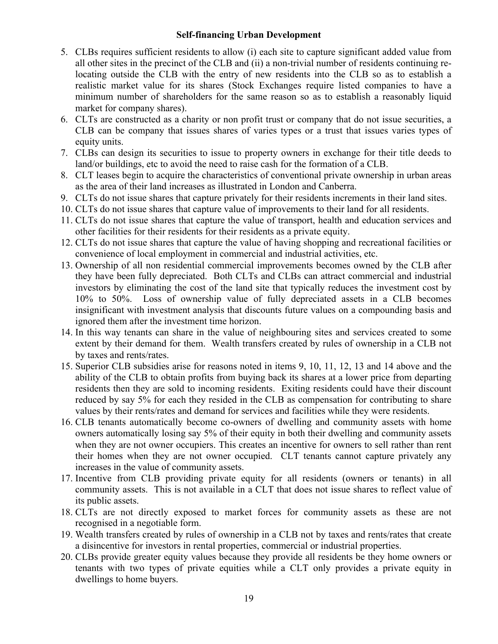- 5. CLBs requires sufficient residents to allow (i) each site to capture significant added value from all other sites in the precinct of the CLB and (ii) a non-trivial number of residents continuing relocating outside the CLB with the entry of new residents into the CLB so as to establish a realistic market value for its shares (Stock Exchanges require listed companies to have a minimum number of shareholders for the same reason so as to establish a reasonably liquid market for company shares).
- 6. CLTs are constructed as a charity or non profit trust or company that do not issue securities, a CLB can be company that issues shares of varies types or a trust that issues varies types of equity units.
- 7. CLBs can design its securities to issue to property owners in exchange for their title deeds to land/or buildings, etc to avoid the need to raise cash for the formation of a CLB.
- 8. CLT leases begin to acquire the characteristics of conventional private ownership in urban areas as the area of their land increases as illustrated in London and Canberra.
- 9. CLTs do not issue shares that capture privately for their residents increments in their land sites.
- 10. CLTs do not issue shares that capture value of improvements to their land for all residents.
- 11. CLTs do not issue shares that capture the value of transport, health and education services and other facilities for their residents for their residents as a private equity.
- 12. CLTs do not issue shares that capture the value of having shopping and recreational facilities or convenience of local employment in commercial and industrial activities, etc.
- 13. Ownership of all non residential commercial improvements becomes owned by the CLB after they have been fully depreciated. Both CLTs and CLBs can attract commercial and industrial investors by eliminating the cost of the land site that typically reduces the investment cost by 10% to 50%. Loss of ownership value of fully depreciated assets in a CLB becomes insignificant with investment analysis that discounts future values on a compounding basis and ignored them after the investment time horizon.
- 14. In this way tenants can share in the value of neighbouring sites and services created to some extent by their demand for them. Wealth transfers created by rules of ownership in a CLB not by taxes and rents/rates.
- 15. Superior CLB subsidies arise for reasons noted in items 9, 10, 11, 12, 13 and 14 above and the ability of the CLB to obtain profits from buying back its shares at a lower price from departing residents then they are sold to incoming residents. Exiting residents could have their discount reduced by say 5% for each they resided in the CLB as compensation for contributing to share values by their rents/rates and demand for services and facilities while they were residents.
- 16. CLB tenants automatically become co-owners of dwelling and community assets with home owners automatically losing say 5% of their equity in both their dwelling and community assets when they are not owner occupiers. This creates an incentive for owners to sell rather than rent their homes when they are not owner occupied. CLT tenants cannot capture privately any increases in the value of community assets.
- 17. Incentive from CLB providing private equity for all residents (owners or tenants) in all community assets. This is not available in a CLT that does not issue shares to reflect value of its public assets.
- 18. CLTs are not directly exposed to market forces for community assets as these are not recognised in a negotiable form.
- 19. Wealth transfers created by rules of ownership in a CLB not by taxes and rents/rates that create a disincentive for investors in rental properties, commercial or industrial properties.
- 20. CLBs provide greater equity values because they provide all residents be they home owners or tenants with two types of private equities while a CLT only provides a private equity in dwellings to home buyers.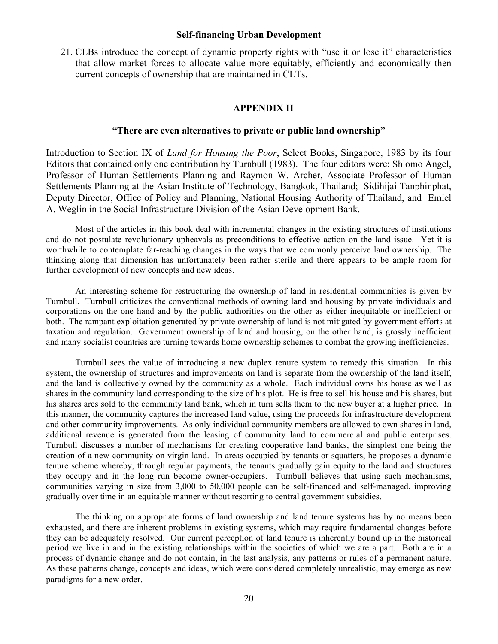21. CLBs introduce the concept of dynamic property rights with "use it or lose it" characteristics that allow market forces to allocate value more equitably, efficiently and economically then current concepts of ownership that are maintained in CLTs.

#### **APPENDIX II**

#### **"There are even alternatives to private or public land ownership"**

Introduction to Section IX of *Land for Housing the Poor*, Select Books, Singapore, 1983 by its four Editors that contained only one contribution by Turnbull (1983). The four editors were: Shlomo Angel, Professor of Human Settlements Planning and Raymon W. Archer, Associate Professor of Human Settlements Planning at the Asian Institute of Technology, Bangkok, Thailand; Sidihijai Tanphinphat, Deputy Director, Office of Policy and Planning, National Housing Authority of Thailand, and Emiel A. Weglin in the Social Infrastructure Division of the Asian Development Bank.

Most of the articles in this book deal with incremental changes in the existing structures of institutions and do not postulate revolutionary upheavals as preconditions to effective action on the land issue. Yet it is worthwhile to contemplate far-reaching changes in the ways that we commonly perceive land ownership. The thinking along that dimension has unfortunately been rather sterile and there appears to be ample room for further development of new concepts and new ideas.

An interesting scheme for restructuring the ownership of land in residential communities is given by Turnbull. Turnbull criticizes the conventional methods of owning land and housing by private individuals and corporations on the one hand and by the public authorities on the other as either inequitable or inefficient or both. The rampant exploitation generated by private ownership of land is not mitigated by government efforts at taxation and regulation. Government ownership of land and housing, on the other hand, is grossly inefficient and many socialist countries are turning towards home ownership schemes to combat the growing inefficiencies.

Turnbull sees the value of introducing a new duplex tenure system to remedy this situation. In this system, the ownership of structures and improvements on land is separate from the ownership of the land itself, and the land is collectively owned by the community as a whole. Each individual owns his house as well as shares in the community land corresponding to the size of his plot. He is free to sell his house and his shares, but his shares ares sold to the community land bank, which in turn sells them to the new buyer at a higher price. In this manner, the community captures the increased land value, using the proceeds for infrastructure development and other community improvements. As only individual community members are allowed to own shares in land, additional revenue is generated from the leasing of community land to commercial and public enterprises. Turnbull discusses a number of mechanisms for creating cooperative land banks, the simplest one being the creation of a new community on virgin land. In areas occupied by tenants or squatters, he proposes a dynamic tenure scheme whereby, through regular payments, the tenants gradually gain equity to the land and structures they occupy and in the long run become owner-occupiers. Turnbull believes that using such mechanisms, communities varying in size from 3,000 to 50,000 people can be self-financed and self-managed, improving gradually over time in an equitable manner without resorting to central government subsidies.

The thinking on appropriate forms of land ownership and land tenure systems has by no means been exhausted, and there are inherent problems in existing systems, which may require fundamental changes before they can be adequately resolved. Our current perception of land tenure is inherently bound up in the historical period we live in and in the existing relationships within the societies of which we are a part. Both are in a process of dynamic change and do not contain, in the last analysis, any patterns or rules of a permanent nature. As these patterns change, concepts and ideas, which were considered completely unrealistic, may emerge as new paradigms for a new order.